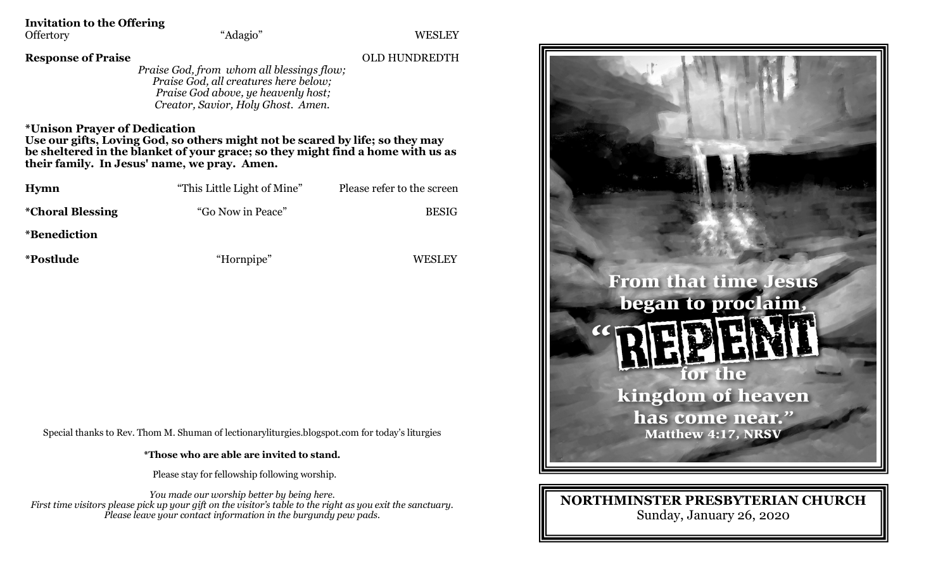**Invitation to the Offering**<br>Offertory "Adagio"

Offertory "Adagio" WESLEY

**Response of Praise** OLD HUNDREDTH

*Praise God, from whom all blessings flow; Praise God, all creatures here below; Praise God above, ye heavenly host; Creator, Savior, Holy Ghost. Amen.*

**\*Unison Prayer of Dedication** 

**Use our gifts, Loving God, so others might not be scared by life; so they may be sheltered in the blanket of your grace; so they might find a home with us as their family. In Jesus' name, we pray. Amen.**

| Hymn                           | "This Little Light of Mine" | Please refer to the screen |
|--------------------------------|-----------------------------|----------------------------|
| <i><b>*Choral Blessing</b></i> | "Go Now in Peace"           | <b>BESIG</b>               |
| <i>*Benediction</i>            |                             |                            |
| <i>*Postlude</i>               | "Hornpipe"                  | WESLEY                     |

Special thanks to Rev. Thom M. Shuman of lectionaryliturgies.blogspot.com for today's liturgies

**\*Those who are able are invited to stand.**

Please stay for fellowship following worship.

*You made our worship better by being here. First time visitors please pick up your gift on the visitor's table to the right as you exit the sanctuary. Please leave your contact information in the burgundy pew pads.*



## **NORTHMINSTER PRESBYTERIAN CHURCH** Sunday, January 26, 2020